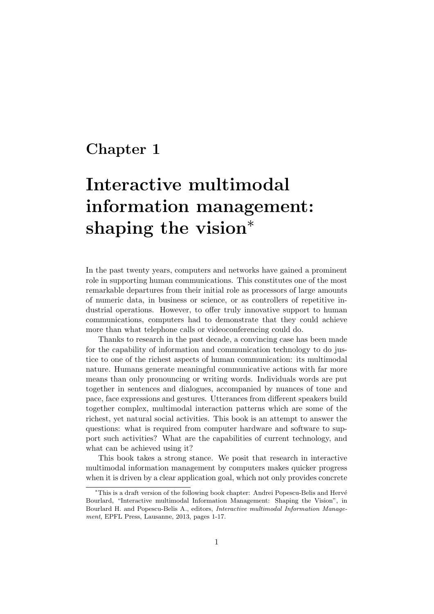## Chapter 1

# Interactive multimodal information management: shaping the vision[∗](#page-12-0)

In the past twenty years, computers and networks have gained a prominent role in supporting human communications. This constitutes one of the most remarkable departures from their initial role as processors of large amounts of numeric data, in business or science, or as controllers of repetitive industrial operations. However, to offer truly innovative support to human communications, computers had to demonstrate that they could achieve more than what telephone calls or videoconferencing could do.

Thanks to research in the past decade, a convincing case has been made for the capability of information and communication technology to do justice to one of the richest aspects of human communication: its multimodal nature. Humans generate meaningful communicative actions with far more means than only pronouncing or writing words. Individuals words are put together in sentences and dialogues, accompanied by nuances of tone and pace, face expressions and gestures. Utterances from different speakers build together complex, multimodal interaction patterns which are some of the richest, yet natural social activities. This book is an attempt to answer the questions: what is required from computer hardware and software to support such activities? What are the capabilities of current technology, and what can be achieved using it?

This book takes a strong stance. We posit that research in interactive multimodal information management by computers makes quicker progress when it is driven by a clear application goal, which not only provides concrete

<sup>\*</sup>This is a draft version of the following book chapter: Andrei Popescu-Belis and Hervé Bourlard, "Interactive multimodal Information Management: Shaping the Vision", in Bourlard H. and Popescu-Belis A., editors, Interactive multimodal Information Management, EPFL Press, Lausanne, 2013, pages 1-17.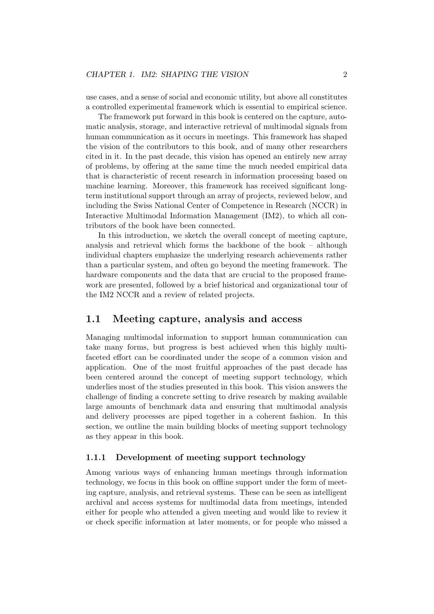use cases, and a sense of social and economic utility, but above all constitutes a controlled experimental framework which is essential to empirical science.

The framework put forward in this book is centered on the capture, automatic analysis, storage, and interactive retrieval of multimodal signals from human communication as it occurs in meetings. This framework has shaped the vision of the contributors to this book, and of many other researchers cited in it. In the past decade, this vision has opened an entirely new array of problems, by offering at the same time the much needed empirical data that is characteristic of recent research in information processing based on machine learning. Moreover, this framework has received significant longterm institutional support through an array of projects, reviewed below, and including the Swiss National Center of Competence in Research (NCCR) in Interactive Multimodal Information Management (IM2), to which all contributors of the book have been connected.

In this introduction, we sketch the overall concept of meeting capture, analysis and retrieval which forms the backbone of the book – although individual chapters emphasize the underlying research achievements rather than a particular system, and often go beyond the meeting framework. The hardware components and the data that are crucial to the proposed framework are presented, followed by a brief historical and organizational tour of the IM2 NCCR and a review of related projects.

## 1.1 Meeting capture, analysis and access

Managing multimodal information to support human communication can take many forms, but progress is best achieved when this highly multifaceted effort can be coordinated under the scope of a common vision and application. One of the most fruitful approaches of the past decade has been centered around the concept of meeting support technology, which underlies most of the studies presented in this book. This vision answers the challenge of finding a concrete setting to drive research by making available large amounts of benchmark data and ensuring that multimodal analysis and delivery processes are piped together in a coherent fashion. In this section, we outline the main building blocks of meeting support technology as they appear in this book.

#### 1.1.1 Development of meeting support technology

Among various ways of enhancing human meetings through information technology, we focus in this book on offline support under the form of meeting capture, analysis, and retrieval systems. These can be seen as intelligent archival and access systems for multimodal data from meetings, intended either for people who attended a given meeting and would like to review it or check specific information at later moments, or for people who missed a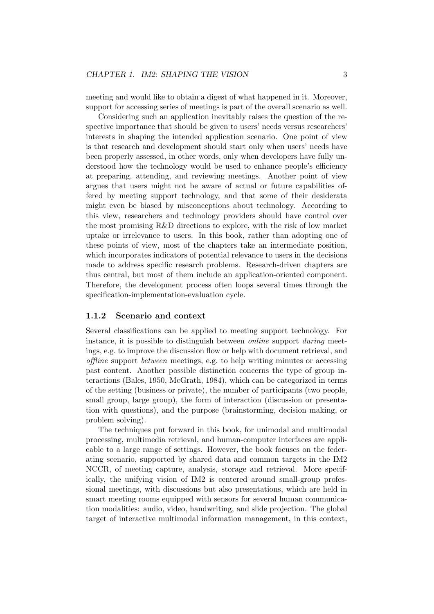meeting and would like to obtain a digest of what happened in it. Moreover, support for accessing series of meetings is part of the overall scenario as well.

Considering such an application inevitably raises the question of the respective importance that should be given to users' needs versus researchers' interests in shaping the intended application scenario. One point of view is that research and development should start only when users' needs have been properly assessed, in other words, only when developers have fully understood how the technology would be used to enhance people's efficiency at preparing, attending, and reviewing meetings. Another point of view argues that users might not be aware of actual or future capabilities offered by meeting support technology, and that some of their desiderata might even be biased by misconceptions about technology. According to this view, researchers and technology providers should have control over the most promising R&D directions to explore, with the risk of low market uptake or irrelevance to users. In this book, rather than adopting one of these points of view, most of the chapters take an intermediate position, which incorporates indicators of potential relevance to users in the decisions made to address specific research problems. Research-driven chapters are thus central, but most of them include an application-oriented component. Therefore, the development process often loops several times through the specification-implementation-evaluation cycle.

## 1.1.2 Scenario and context

Several classifications can be applied to meeting support technology. For instance, it is possible to distinguish between online support during meetings, e.g. to improve the discussion flow or help with document retrieval, and offline support between meetings, e.g. to help writing minutes or accessing past content. Another possible distinction concerns the type of group interactions [\(Bales, 1950,](#page--1-0) [McGrath, 1984\)](#page--1-1), which can be categorized in terms of the setting (business or private), the number of participants (two people, small group, large group), the form of interaction (discussion or presentation with questions), and the purpose (brainstorming, decision making, or problem solving).

The techniques put forward in this book, for unimodal and multimodal processing, multimedia retrieval, and human-computer interfaces are applicable to a large range of settings. However, the book focuses on the federating scenario, supported by shared data and common targets in the IM2 NCCR, of meeting capture, analysis, storage and retrieval. More specifically, the unifying vision of IM2 is centered around small-group professional meetings, with discussions but also presentations, which are held in smart meeting rooms equipped with sensors for several human communication modalities: audio, video, handwriting, and slide projection. The global target of interactive multimodal information management, in this context,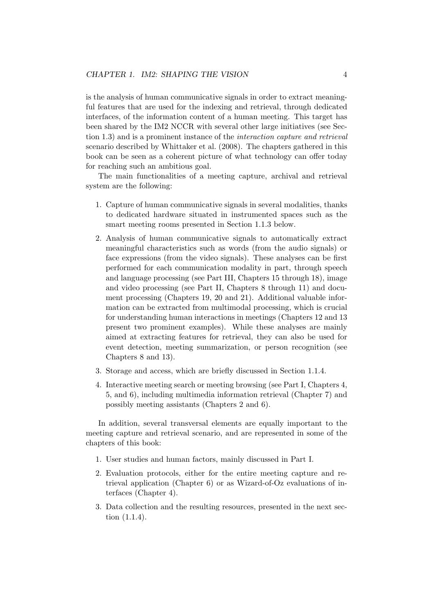is the analysis of human communicative signals in order to extract meaningful features that are used for the indexing and retrieval, through dedicated interfaces, of the information content of a human meeting. This target has been shared by the IM2 NCCR with several other large initiatives (see Section [1.3\)](#page--1-2) and is a prominent instance of the interaction capture and retrieval scenario described by [Whittaker et al. \(2008\)](#page--1-3). The chapters gathered in this book can be seen as a coherent picture of what technology can offer today for reaching such an ambitious goal.

The main functionalities of a meeting capture, archival and retrieval system are the following:

- 1. Capture of human communicative signals in several modalities, thanks to dedicated hardware situated in instrumented spaces such as the smart meeting rooms presented in Section [1.1.3](#page-16-0) below.
- 2. Analysis of human communicative signals to automatically extract meaningful characteristics such as words (from the audio signals) or face expressions (from the video signals). These analyses can be first performed for each communication modality in part, through speech and language processing (see Part III, Chapters [15](#page--1-4) through [18\)](#page--1-4), image and video processing (see Part II, Chapters [8](#page--1-4) through [11\)](#page--1-4) and document processing (Chapters [19, 20](#page--1-4) and [21\)](#page--1-4). Additional valuable information can be extracted from multimodal processing, which is crucial for understanding human interactions in meetings (Chapters [12](#page--1-4) and [13](#page--1-4) present two prominent examples). While these analyses are mainly aimed at extracting features for retrieval, they can also be used for event detection, meeting summarization, or person recognition (see Chapters [8](#page--1-4) and [13\)](#page--1-4).
- 3. Storage and access, which are briefly discussed in Section [1.1.4.](#page-18-0)
- 4. Interactive meeting search or meeting browsing (see Part I, Chapters [4,](#page--1-4) [5,](#page--1-4) and [6\)](#page--1-4), including multimedia information retrieval (Chapter [7\)](#page--1-4) and possibly meeting assistants (Chapters [2](#page--1-4) and [6\)](#page--1-4).

In addition, several transversal elements are equally important to the meeting capture and retrieval scenario, and are represented in some of the chapters of this book:

- 1. User studies and human factors, mainly discussed in Part I.
- 2. Evaluation protocols, either for the entire meeting capture and retrieval application (Chapter [6\)](#page--1-4) or as Wizard-of-Oz evaluations of interfaces (Chapter [4\)](#page--1-4).
- 3. Data collection and the resulting resources, presented in the next section [\(1.1.4\)](#page-18-0).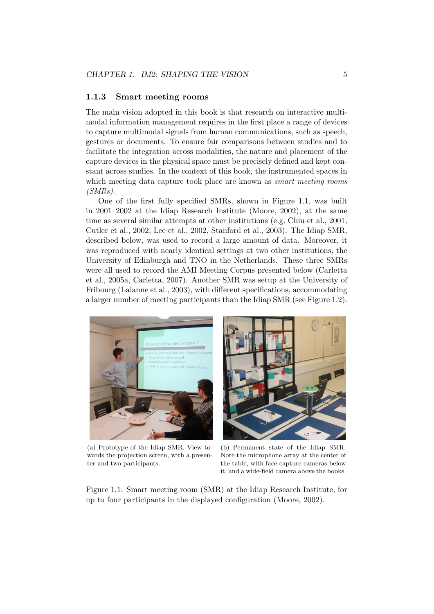#### 1.1.3 Smart meeting rooms

The main vision adopted in this book is that research on interactive multimodal information management requires in the first place a range of devices to capture multimodal signals from human communications, such as speech, gestures or documents. To ensure fair comparisons between studies and to facilitate the integration across modalities, the nature and placement of the capture devices in the physical space must be precisely defined and kept constant across studies. In the context of this book, the instrumented spaces in which meeting data capture took place are known as *smart meeting rooms*  $(SMRs)$ .

One of the first fully specified SMRs, shown in Figure [1.1,](#page-16-1) was built in 2001–2002 at the Idiap Research Institute [\(Moore, 2002\)](#page--1-5), at the same time as several similar attempts at other institutions (e.g. [Chiu et al., 2001,](#page--1-6) [Cutler et al., 2002,](#page--1-7) [Lee et al., 2002,](#page--1-8) [Stanford et al., 2003\)](#page--1-9). The Idiap SMR, described below, was used to record a large amount of data. Moreover, it was reproduced with nearly identical settings at two other institutions, the University of Edinburgh and TNO in the Netherlands. These three SMRs were all used to record the AMI Meeting Corpus presented below [\(Carletta](#page--1-10) [et al., 2005a,](#page--1-10) [Carletta, 2007\)](#page--1-11). Another SMR was setup at the University of Fribourg [\(Lalanne et al., 2003\)](#page--1-12), with different specifications, accommodating a larger number of meeting participants than the Idiap SMR (see Figure [1.2\)](#page-17-0).



(a) Prototype of the Idiap SMR. View towards the projection screen, with a presenter and two participants.

(b) Permanent state of the Idiap SMR. Note the microphone array at the center of the table, with face-capture cameras below it, and a wide-field camera above the books.

Figure 1.1: Smart meeting room (SMR) at the Idiap Research Institute, for up to four participants in the displayed configuration [\(Moore, 2002\)](#page--1-5).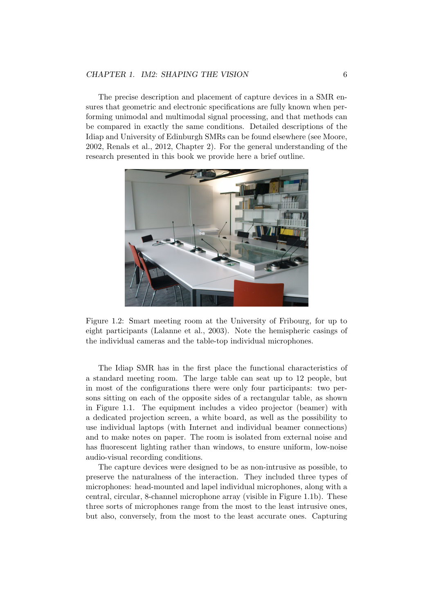The precise description and placement of capture devices in a SMR ensures that geometric and electronic specifications are fully known when performing unimodal and multimodal signal processing, and that methods can be compared in exactly the same conditions. Detailed descriptions of the Idiap and University of Edinburgh SMRs can be found elsewhere (see [Moore,](#page--1-5) [2002,](#page--1-5) [Renals et al., 2012,](#page--1-13) Chapter 2). For the general understanding of the research presented in this book we provide here a brief outline.



Figure 1.2: Smart meeting room at the University of Fribourg, for up to eight participants [\(Lalanne et al., 2003\)](#page--1-12). Note the hemispheric casings of the individual cameras and the table-top individual microphones.

The Idiap SMR has in the first place the functional characteristics of a standard meeting room. The large table can seat up to 12 people, but in most of the configurations there were only four participants: two persons sitting on each of the opposite sides of a rectangular table, as shown in Figure [1.1.](#page-16-1) The equipment includes a video projector (beamer) with a dedicated projection screen, a white board, as well as the possibility to use individual laptops (with Internet and individual beamer connections) and to make notes on paper. The room is isolated from external noise and has fluorescent lighting rather than windows, to ensure uniform, low-noise audio-visual recording conditions.

The capture devices were designed to be as non-intrusive as possible, to preserve the naturalness of the interaction. They included three types of microphones: head-mounted and lapel individual microphones, along with a central, circular, 8-channel microphone array (visible in Figure [1.1b](#page-16-1)). These three sorts of microphones range from the most to the least intrusive ones, but also, conversely, from the most to the least accurate ones. Capturing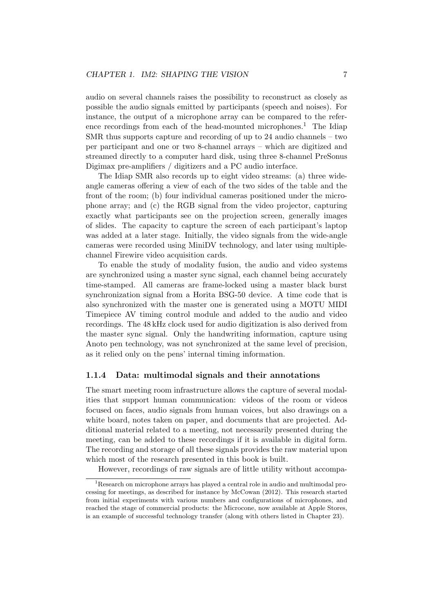audio on several channels raises the possibility to reconstruct as closely as possible the audio signals emitted by participants (speech and noises). For instance, the output of a microphone array can be compared to the refer-ence recordings from each of the head-mounted microphones.<sup>[1](#page-18-1)</sup> The Idiap SMR thus supports capture and recording of up to 24 audio channels – two per participant and one or two 8-channel arrays – which are digitized and streamed directly to a computer hard disk, using three 8-channel PreSonus Digimax pre-amplifiers / digitizers and a PC audio interface.

The Idiap SMR also records up to eight video streams: (a) three wideangle cameras offering a view of each of the two sides of the table and the front of the room; (b) four individual cameras positioned under the microphone array; and (c) the RGB signal from the video projector, capturing exactly what participants see on the projection screen, generally images of slides. The capacity to capture the screen of each participant's laptop was added at a later stage. Initially, the video signals from the wide-angle cameras were recorded using MiniDV technology, and later using multiplechannel Firewire video acquisition cards.

To enable the study of modality fusion, the audio and video systems are synchronized using a master sync signal, each channel being accurately time-stamped. All cameras are frame-locked using a master black burst synchronization signal from a Horita BSG-50 device. A time code that is also synchronized with the master one is generated using a MOTU MIDI Timepiece AV timing control module and added to the audio and video recordings. The 48 kHz clock used for audio digitization is also derived from the master sync signal. Only the handwriting information, capture using Anoto pen technology, was not synchronized at the same level of precision, as it relied only on the pens' internal timing information.

#### 1.1.4 Data: multimodal signals and their annotations

The smart meeting room infrastructure allows the capture of several modalities that support human communication: videos of the room or videos focused on faces, audio signals from human voices, but also drawings on a white board, notes taken on paper, and documents that are projected. Additional material related to a meeting, not necessarily presented during the meeting, can be added to these recordings if it is available in digital form. The recording and storage of all these signals provides the raw material upon which most of the research presented in this book is built.

However, recordings of raw signals are of little utility without accompa-

<sup>&</sup>lt;sup>1</sup>Research on microphone arrays has played a central role in audio and multimodal processing for meetings, as described for instance by [McCowan \(2012\)](#page--1-14). This research started from initial experiments with various numbers and configurations of microphones, and reached the stage of commercial products: the Microcone, now available at Apple Stores, is an example of successful technology transfer (along with others listed in Chapter [23\)](#page--1-4).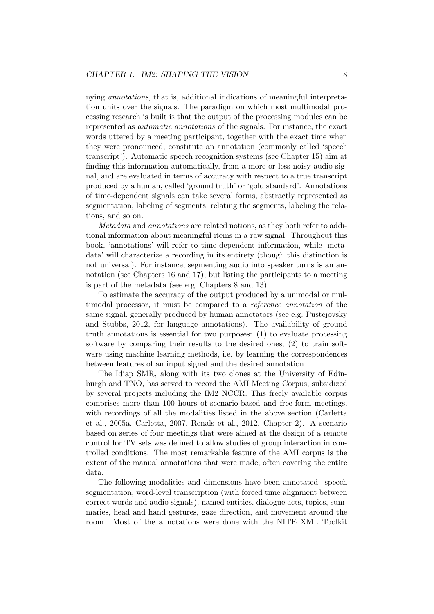nying annotations, that is, additional indications of meaningful interpretation units over the signals. The paradigm on which most multimodal processing research is built is that the output of the processing modules can be represented as automatic annotations of the signals. For instance, the exact words uttered by a meeting participant, together with the exact time when they were pronounced, constitute an annotation (commonly called 'speech transcript'). Automatic speech recognition systems (see Chapter [15\)](#page--1-4) aim at finding this information automatically, from a more or less noisy audio signal, and are evaluated in terms of accuracy with respect to a true transcript produced by a human, called 'ground truth' or 'gold standard'. Annotations of time-dependent signals can take several forms, abstractly represented as segmentation, labeling of segments, relating the segments, labeling the relations, and so on.

Metadata and annotations are related notions, as they both refer to additional information about meaningful items in a raw signal. Throughout this book, 'annotations' will refer to time-dependent information, while 'metadata' will characterize a recording in its entirety (though this distinction is not universal). For instance, segmenting audio into speaker turns is an annotation (see Chapters [16](#page--1-4) and [17\)](#page--1-4), but listing the participants to a meeting is part of the metadata (see e.g. Chapters [8](#page--1-4) and [13\)](#page--1-4).

To estimate the accuracy of the output produced by a unimodal or multimodal processor, it must be compared to a reference annotation of the same signal, generally produced by human annotators (see e.g. [Pustejovsky](#page--1-15) [and Stubbs, 2012,](#page--1-15) for language annotations). The availability of ground truth annotations is essential for two purposes: (1) to evaluate processing software by comparing their results to the desired ones; (2) to train software using machine learning methods, i.e. by learning the correspondences between features of an input signal and the desired annotation.

The Idiap SMR, along with its two clones at the University of Edinburgh and TNO, has served to record the AMI Meeting Corpus, subsidized by several projects including the IM2 NCCR. This freely available corpus comprises more than 100 hours of scenario-based and free-form meetings, with recordings of all the modalities listed in the above section [\(Carletta](#page--1-10) [et al., 2005a,](#page--1-10) [Carletta, 2007,](#page--1-11) [Renals et al., 2012,](#page--1-13) Chapter 2). A scenario based on series of four meetings that were aimed at the design of a remote control for TV sets was defined to allow studies of group interaction in controlled conditions. The most remarkable feature of the AMI corpus is the extent of the manual annotations that were made, often covering the entire data.

The following modalities and dimensions have been annotated: speech segmentation, word-level transcription (with forced time alignment between correct words and audio signals), named entities, dialogue acts, topics, summaries, head and hand gestures, gaze direction, and movement around the room. Most of the annotations were done with the NITE XML Toolkit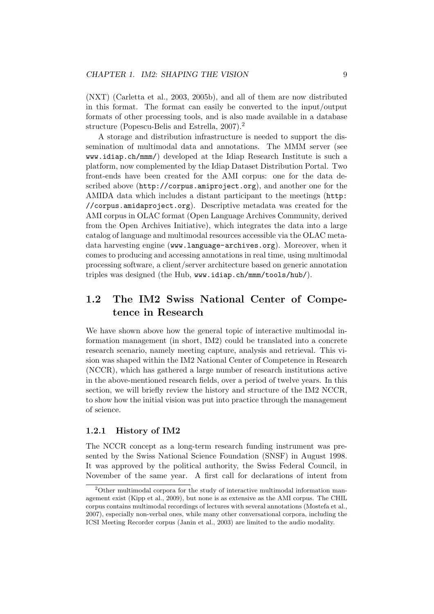(NXT) [\(Carletta et al., 2003,](#page--1-16) [2005b\)](#page--1-17), and all of them are now distributed in this format. The format can easily be converted to the input/output formats of other processing tools, and is also made available in a database structure [\(Popescu-Belis and Estrella, 2007\)](#page--1-18).[2](#page--1-19)

A storage and distribution infrastructure is needed to support the dissemination of multimodal data and annotations. The MMM server (see <www.idiap.ch/mmm/>) developed at the Idiap Research Institute is such a platform, now complemented by the Idiap Dataset Distribution Portal. Two front-ends have been created for the AMI corpus: one for the data described above (<http://corpus.amiproject.org>), and another one for the AMIDA data which includes a distant participant to the meetings ([http:](http://corpus.amidaproject.org) [//corpus.amidaproject.org](http://corpus.amidaproject.org)). Descriptive metadata was created for the AMI corpus in OLAC format (Open Language Archives Community, derived from the Open Archives Initiative), which integrates the data into a large catalog of language and multimodal resources accessible via the OLAC metadata harvesting engine (<www.language-archives.org>). Moreover, when it comes to producing and accessing annotations in real time, using multimodal processing software, a client/server architecture based on generic annotation triples was designed (the Hub, <www.idiap.ch/mmm/tools/hub/>).

## 1.2 The IM2 Swiss National Center of Competence in Research

We have shown above how the general topic of interactive multimodal information management (in short, IM2) could be translated into a concrete research scenario, namely meeting capture, analysis and retrieval. This vision was shaped within the IM2 National Center of Competence in Research (NCCR), which has gathered a large number of research institutions active in the above-mentioned research fields, over a period of twelve years. In this section, we will briefly review the history and structure of the IM2 NCCR, to show how the initial vision was put into practice through the management of science.

### 1.2.1 History of IM2

The NCCR concept as a long-term research funding instrument was presented by the Swiss National Science Foundation (SNSF) in August 1998. It was approved by the political authority, the Swiss Federal Council, in November of the same year. A first call for declarations of intent from

 $2$ Other multimodal corpora for the study of interactive multimodal information management exist [\(Kipp et al., 2009\)](#page--1-20), but none is as extensive as the AMI corpus. The CHIL corpus contains multimodal recordings of lectures with several annotations [\(Mostefa et al.,](#page--1-21) [2007\)](#page--1-21), especially non-verbal ones, while many other conversational corpora, including the ICSI Meeting Recorder corpus [\(Janin et al., 2003\)](#page--1-22) are limited to the audio modality.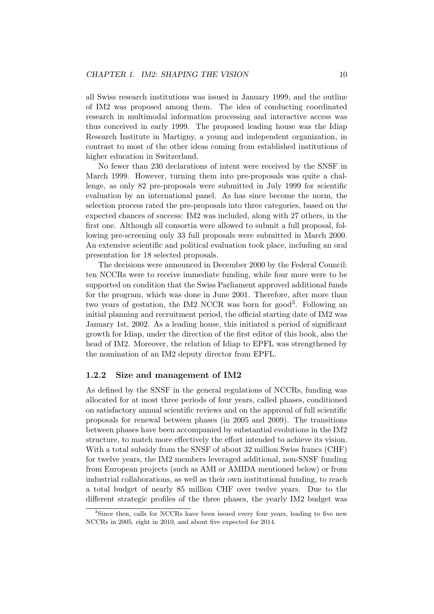all Swiss research institutions was issued in January 1999, and the outline of IM2 was proposed among them. The idea of conducting coordinated research in multimodal information processing and interactive access was thus conceived in early 1999. The proposed leading house was the Idiap Research Institute in Martigny, a young and independent organization, in contrast to most of the other ideas coming from established institutions of higher education in Switzerland.

No fewer than 230 declarations of intent were received by the SNSF in March 1999. However, turning them into pre-proposals was quite a challenge, as only 82 pre-proposals were submitted in July 1999 for scientific evaluation by an international panel. As has since become the norm, the selection process rated the pre-proposals into three categories, based on the expected chances of success: IM2 was included, along with 27 others, in the first one. Although all consortia were allowed to submit a full proposal, following pre-screening only 33 full proposals were submitted in March 2000. An extensive scientific and political evaluation took place, including an oral presentation for 18 selected proposals.

The decisions were announced in December 2000 by the Federal Council: ten NCCRs were to receive immediate funding, while four more were to be supported on condition that the Swiss Parliament approved additional funds for the program, which was done in June 2001. Therefore, after more than two years of gestation, the IM2 NCCR was born for good[3](#page--1-23) . Following an initial planning and recruitment period, the official starting date of IM2 was January 1st, 2002. As a leading house, this initiated a period of significant growth for Idiap, under the direction of the first editor of this book, also the head of IM2. Moreover, the relation of Idiap to EPFL was strengthened by the nomination of an IM2 deputy director from EPFL.

#### 1.2.2 Size and management of IM2

As defined by the SNSF in the general regulations of NCCRs, funding was allocated for at most three periods of four years, called phases, conditioned on satisfactory annual scientific reviews and on the approval of full scientific proposals for renewal between phases (in 2005 and 2009). The transitions between phases have been accompanied by substantial evolutions in the IM2 structure, to match more effectively the effort intended to achieve its vision. With a total subsidy from the SNSF of about 32 million Swiss francs (CHF) for twelve years, the IM2 members leveraged additional, non-SNSF funding from European projects (such as AMI or AMIDA mentioned below) or from industrial collaborations, as well as their own institutional funding, to reach a total budget of nearly 85 million CHF over twelve years. Due to the different strategic profiles of the three phases, the yearly IM2 budget was

<sup>&</sup>lt;sup>3</sup>Since then, calls for NCCRs have been issued every four years, leading to five new NCCRs in 2005, eight in 2010, and about five expected for 2014.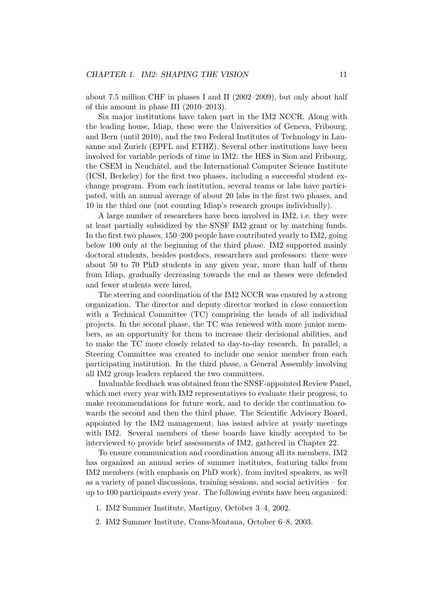about 7.5 million CHF in phases I and II (2002–2009), but only about half of this amount in phase III (2010–2013).

Six major institutions have taken part in the IM2 NCCR. Along with the leading house, Idiap, these were the Universities of Geneva, Fribourg, and Bern (until 2010), and the two Federal Institutes of Technology in Lausanne and Zurich (EPFL and ETHZ). Several other institutions have been involved for variable periods of time in IM2: the HES in Sion and Fribourg, the CSEM in Neuchâtel, and the International Computer Science Institute (ICSI, Berkeley) for the first two phases, including a successful student exchange program. From each institution, several teams or labs have participated, with an annual average of about 20 labs in the first two phases, and 10 in the third one (not counting Idiap's research groups individually).

A large number of researchers have been involved in IM2, i.e. they were at least partially subsidized by the SNSF IM2 grant or by matching funds. In the first two phases, 150–200 people have contributed yearly to IM2, going below 100 only at the beginning of the third phase. IM2 supported mainly doctoral students, besides postdocs, researchers and professors: there were about 50 to 70 PhD students in any given year, more than half of them from Idiap, gradually decreasing towards the end as theses were defended and fewer students were hired.

The steering and coordination of the IM2 NCCR was ensured by a strong organization. The director and deputy director worked in close connection with a Technical Committee (TC) comprising the heads of all individual projects. In the second phase, the TC was renewed with more junior members, as an opportunity for them to increase their decisional abilities, and to make the TC more closely related to day-to-day research. In parallel, a Steering Committee was created to include one senior member from each participating institution. In the third phase, a General Assembly involving all IM2 group leaders replaced the two committees.

Invaluable feedback was obtained from the SNSF-appointed Review Panel, which met every year with IM2 representatives to evaluate their progress, to make recommendations for future work, and to decide the continuation towards the second and then the third phase. The Scientific Advisory Board, appointed by the IM2 management, has issued advice at yearly meetings with IM2. Several members of these boards have kindly accepted to be interviewed to provide brief assessments of IM2, gathered in Chapter [22.](#page--1-4)

To ensure communication and coordination among all its members, IM2 has organized an annual series of summer institutes, featuring talks from IM2 members (with emphasis on PhD work), from invited speakers, as well as a variety of panel discussions, training sessions, and social activities – for up to 100 participants every year. The following events have been organized:

- 1. IM2 Summer Institute, Martigny, October 3–4, 2002.
- 2. IM2 Summer Institute, Crans-Montana, October 6–8, 2003.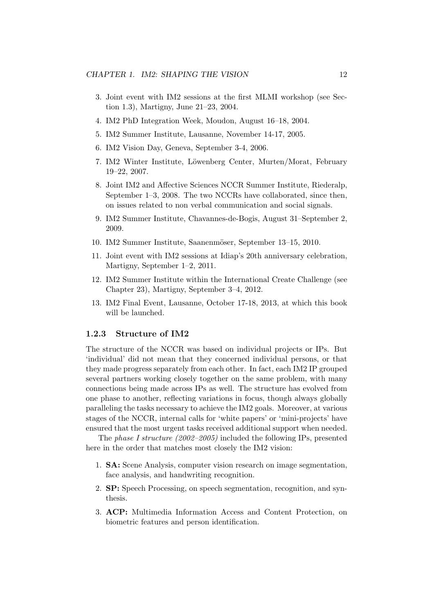- 3. Joint event with IM2 sessions at the first MLMI workshop (see Section [1.3\)](#page--1-2), Martigny, June 21–23, 2004.
- 4. IM2 PhD Integration Week, Moudon, August 16–18, 2004.
- 5. IM2 Summer Institute, Lausanne, November 14-17, 2005.
- 6. IM2 Vision Day, Geneva, September 3-4, 2006.
- 7. IM2 Winter Institute, Löwenberg Center, Murten/Morat, February 19–22, 2007.
- 8. Joint IM2 and Affective Sciences NCCR Summer Institute, Riederalp, September 1–3, 2008. The two NCCRs have collaborated, since then, on issues related to non verbal communication and social signals.
- 9. IM2 Summer Institute, Chavannes-de-Bogis, August 31–September 2, 2009.
- 10. IM2 Summer Institute, Saanenmöser, September 13–15, 2010.
- 11. Joint event with IM2 sessions at Idiap's 20th anniversary celebration, Martigny, September 1–2, 2011.
- 12. IM2 Summer Institute within the International Create Challenge (see Chapter [23\)](#page--1-4), Martigny, September 3–4, 2012.
- 13. IM2 Final Event, Lausanne, October 17-18, 2013, at which this book will be launched.

#### 1.2.3 Structure of IM2

The structure of the NCCR was based on individual projects or IPs. But 'individual' did not mean that they concerned individual persons, or that they made progress separately from each other. In fact, each IM2 IP grouped several partners working closely together on the same problem, with many connections being made across IPs as well. The structure has evolved from one phase to another, reflecting variations in focus, though always globally paralleling the tasks necessary to achieve the IM2 goals. Moreover, at various stages of the NCCR, internal calls for 'white papers' or 'mini-projects' have ensured that the most urgent tasks received additional support when needed.

The phase I structure (2002–2005) included the following IPs, presented here in the order that matches most closely the IM2 vision:

- 1. SA: Scene Analysis, computer vision research on image segmentation, face analysis, and handwriting recognition.
- 2. SP: Speech Processing, on speech segmentation, recognition, and synthesis.
- 3. ACP: Multimedia Information Access and Content Protection, on biometric features and person identification.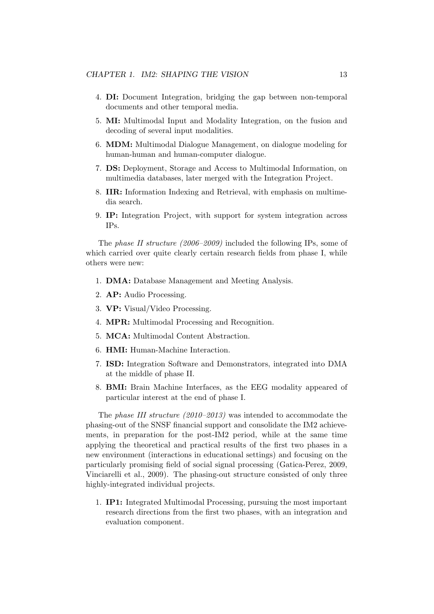- 4. DI: Document Integration, bridging the gap between non-temporal documents and other temporal media.
- 5. MI: Multimodal Input and Modality Integration, on the fusion and decoding of several input modalities.
- 6. MDM: Multimodal Dialogue Management, on dialogue modeling for human-human and human-computer dialogue.
- 7. DS: Deployment, Storage and Access to Multimodal Information, on multimedia databases, later merged with the Integration Project.
- 8. IIR: Information Indexing and Retrieval, with emphasis on multimedia search.
- 9. IP: Integration Project, with support for system integration across IPs.

The phase II structure (2006–2009) included the following IPs, some of which carried over quite clearly certain research fields from phase I, while others were new:

- 1. DMA: Database Management and Meeting Analysis.
- 2. AP: Audio Processing.
- 3. VP: Visual/Video Processing.
- 4. MPR: Multimodal Processing and Recognition.
- 5. MCA: Multimodal Content Abstraction.
- 6. HMI: Human-Machine Interaction.
- 7. ISD: Integration Software and Demonstrators, integrated into DMA at the middle of phase II.
- 8. BMI: Brain Machine Interfaces, as the EEG modality appeared of particular interest at the end of phase I.

The phase III structure  $(2010-2013)$  was intended to accommodate the phasing-out of the SNSF financial support and consolidate the IM2 achievements, in preparation for the post-IM2 period, while at the same time applying the theoretical and practical results of the first two phases in a new environment (interactions in educational settings) and focusing on the particularly promising field of social signal processing [\(Gatica-Perez, 2009,](#page--1-24) [Vinciarelli et al., 2009\)](#page--1-20). The phasing-out structure consisted of only three highly-integrated individual projects.

<span id="page-12-0"></span>1. IP1: Integrated Multimodal Processing, pursuing the most important research directions from the first two phases, with an integration and evaluation component.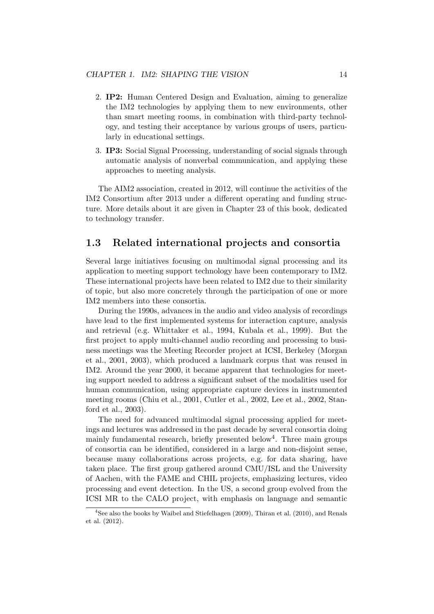- 2. IP2: Human Centered Design and Evaluation, aiming to generalize the IM2 technologies by applying them to new environments, other than smart meeting rooms, in combination with third-party technology, and testing their acceptance by various groups of users, particularly in educational settings.
- 3. IP3: Social Signal Processing, understanding of social signals through automatic analysis of nonverbal communication, and applying these approaches to meeting analysis.

The AIM2 association, created in 2012, will continue the activities of the IM2 Consortium after 2013 under a different operating and funding structure. More details about it are given in Chapter [23](#page--1-4) of this book, dedicated to technology transfer.

## 1.3 Related international projects and consortia

Several large initiatives focusing on multimodal signal processing and its application to meeting support technology have been contemporary to IM2. These international projects have been related to IM2 due to their similarity of topic, but also more concretely through the participation of one or more IM2 members into these consortia.

During the 1990s, advances in the audio and video analysis of recordings have lead to the first implemented systems for interaction capture, analysis and retrieval (e.g. [Whittaker et al., 1994,](#page--1-8) [Kubala et al., 1999\)](#page--1-25). But the first project to apply multi-channel audio recording and processing to business meetings was the Meeting Recorder project at ICSI, Berkeley [\(Morgan](#page--1-26) [et al., 2001,](#page--1-26) [2003\)](#page--1-27), which produced a landmark corpus that was reused in IM2. Around the year 2000, it became apparent that technologies for meeting support needed to address a significant subset of the modalities used for human communication, using appropriate capture devices in instrumented meeting rooms [\(Chiu et al., 2001,](#page--1-6) [Cutler et al., 2002,](#page--1-7) [Lee et al., 2002,](#page--1-8) [Stan](#page--1-9)[ford et al., 2003\)](#page--1-9).

The need for advanced multimodal signal processing applied for meetings and lectures was addressed in the past decade by several consortia doing mainly fundamental research, briefly presented below<sup>[4](#page--1-28)</sup>. Three main groups of consortia can be identified, considered in a large and non-disjoint sense, because many collaborations across projects, e.g. for data sharing, have taken place. The first group gathered around CMU/ISL and the University of Aachen, with the FAME and CHIL projects, emphasizing lectures, video processing and event detection. In the US, a second group evolved from the ICSI MR to the CALO project, with emphasis on language and semantic

 $4$ See also the books by [Waibel and Stiefelhagen \(2009\)](#page--1-29), [Thiran et](#page--1-30) al. [\(2010\)](#page--1-30), and [Renals](#page--1-13) [et al. \(2012\)](#page--1-13).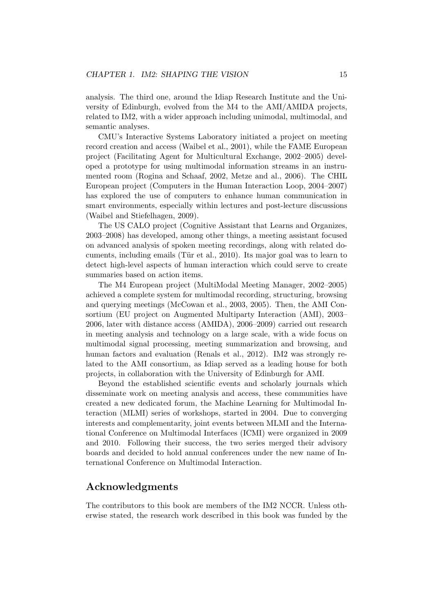analysis. The third one, around the Idiap Research Institute and the University of Edinburgh, evolved from the M4 to the AMI/AMIDA projects, related to IM2, with a wider approach including unimodal, multimodal, and semantic analyses.

CMU's Interactive Systems Laboratory initiated a project on meeting record creation and access [\(Waibel et al., 2001\)](#page--1-25), while the FAME European project (Facilitating Agent for Multicultural Exchange, 2002–2005) developed a prototype for using multimodal information streams in an instrumented room [\(Rogina and Schaaf, 2002,](#page--1-31) [Metze and al., 2006\)](#page--1-32). The CHIL European project (Computers in the Human Interaction Loop, 2004–2007) has explored the use of computers to enhance human communication in smart environments, especially within lectures and post-lecture discussions [\(Waibel and Stiefelhagen, 2009\)](#page--1-29).

The US CALO project (Cognitive Assistant that Learns and Organizes, 2003–2008) has developed, among other things, a meeting assistant focused on advanced analysis of spoken meeting recordings, along with related documents, including emails (Tür et al., 2010). Its major goal was to learn to detect high-level aspects of human interaction which could serve to create summaries based on action items.

The M4 European project (MultiModal Meeting Manager, 2002–2005) achieved a complete system for multimodal recording, structuring, browsing and querying meetings [\(McCowan et al., 2003,](#page--1-34) [2005\)](#page--1-35). Then, the AMI Consortium (EU project on Augmented Multiparty Interaction (AMI), 2003– 2006, later with distance access (AMIDA), 2006–2009) carried out research in meeting analysis and technology on a large scale, with a wide focus on multimodal signal processing, meeting summarization and browsing, and human factors and evaluation [\(Renals et al., 2012\)](#page--1-13). IM2 was strongly related to the AMI consortium, as Idiap served as a leading house for both projects, in collaboration with the University of Edinburgh for AMI.

Beyond the established scientific events and scholarly journals which disseminate work on meeting analysis and access, these communities have created a new dedicated forum, the Machine Learning for Multimodal Interaction (MLMI) series of workshops, started in 2004. Due to converging interests and complementarity, joint events between MLMI and the International Conference on Multimodal Interfaces (ICMI) were organized in 2009 and 2010. Following their success, the two series merged their advisory boards and decided to hold annual conferences under the new name of International Conference on Multimodal Interaction.

## Acknowledgments

The contributors to this book are members of the IM2 NCCR. Unless otherwise stated, the research work described in this book was funded by the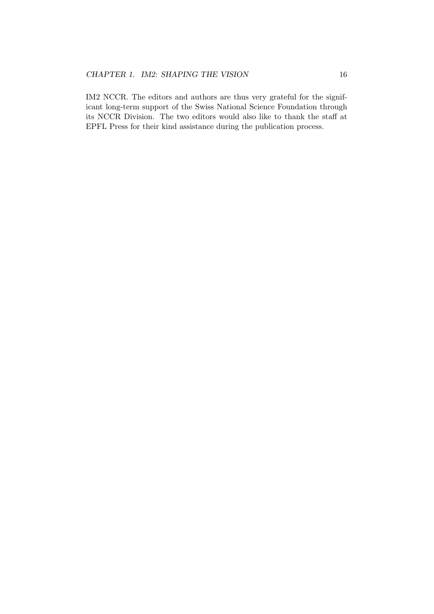IM2 NCCR. The editors and authors are thus very grateful for the significant long-term support of the Swiss National Science Foundation through its NCCR Division. The two editors would also like to thank the staff at EPFL Press for their kind assistance during the publication process.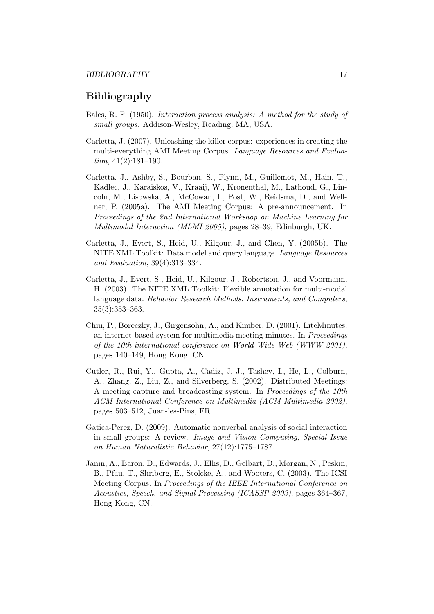## <span id="page-16-0"></span>Bibliography

- Bales, R. F. (1950). Interaction process analysis: A method for the study of small groups. Addison-Wesley, Reading, MA, USA.
- Carletta, J. (2007). Unleashing the killer corpus: experiences in creating the multi-everything AMI Meeting Corpus. Language Resources and Evaluation,  $41(2):181-190$ .
- Carletta, J., Ashby, S., Bourban, S., Flynn, M., Guillemot, M., Hain, T., Kadlec, J., Karaiskos, V., Kraaij, W., Kronenthal, M., Lathoud, G., Lincoln, M., Lisowska, A., McCowan, I., Post, W., Reidsma, D., and Wellner, P. (2005a). The AMI Meeting Corpus: A pre-announcement. In Proceedings of the 2nd International Workshop on Machine Learning for Multimodal Interaction (MLMI 2005), pages 28–39, Edinburgh, UK.
- Carletta, J., Evert, S., Heid, U., Kilgour, J., and Chen, Y. (2005b). The NITE XML Toolkit: Data model and query language. Language Resources and Evaluation, 39(4):313–334.
- Carletta, J., Evert, S., Heid, U., Kilgour, J., Robertson, J., and Voormann, H. (2003). The NITE XML Toolkit: Flexible annotation for multi-modal language data. Behavior Research Methods, Instruments, and Computers, 35(3):353–363.
- Chiu, P., Boreczky, J., Girgensohn, A., and Kimber, D. (2001). LiteMinutes: an internet-based system for multimedia meeting minutes. In Proceedings of the 10th international conference on World Wide Web (WWW 2001), pages 140–149, Hong Kong, CN.
- Cutler, R., Rui, Y., Gupta, A., Cadiz, J. J., Tashev, I., He, L., Colburn, A., Zhang, Z., Liu, Z., and Silverberg, S. (2002). Distributed Meetings: A meeting capture and broadcasting system. In Proceedings of the 10th ACM International Conference on Multimedia (ACM Multimedia 2002), pages 503–512, Juan-les-Pins, FR.
- Gatica-Perez, D. (2009). Automatic nonverbal analysis of social interaction in small groups: A review. Image and Vision Computing, Special Issue on Human Naturalistic Behavior, 27(12):1775–1787.
- <span id="page-16-1"></span>Janin, A., Baron, D., Edwards, J., Ellis, D., Gelbart, D., Morgan, N., Peskin, B., Pfau, T., Shriberg, E., Stolcke, A., and Wooters, C. (2003). The ICSI Meeting Corpus. In Proceedings of the IEEE International Conference on Acoustics, Speech, and Signal Processing (ICASSP 2003), pages 364–367, Hong Kong, CN.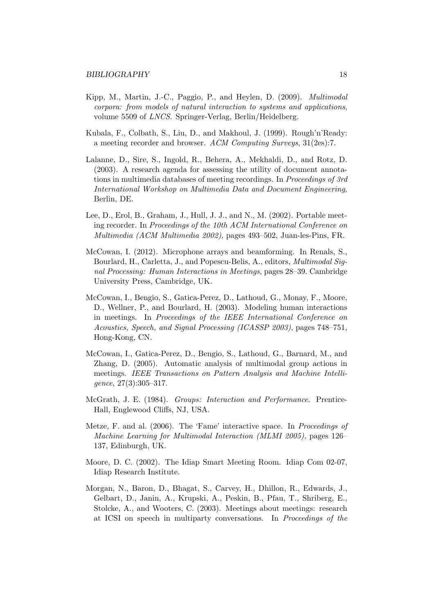- Kipp, M., Martin, J.-C., Paggio, P., and Heylen, D. (2009). Multimodal corpora: from models of natural interaction to systems and applications, volume 5509 of LNCS. Springer-Verlag, Berlin/Heidelberg.
- Kubala, F., Colbath, S., Liu, D., and Makhoul, J. (1999). Rough'n'Ready: a meeting recorder and browser. ACM Computing Surveys, 31(2es):7.
- Lalanne, D., Sire, S., Ingold, R., Behera, A., Mekhaldi, D., and Rotz, D. (2003). A research agenda for assessing the utility of document annotations in multimedia databases of meeting recordings. In Proceedings of 3rd International Workshop on Multimedia Data and Document Engineering, Berlin, DE.
- Lee, D., Erol, B., Graham, J., Hull, J. J., and N., M. (2002). Portable meeting recorder. In Proceedings of the 10th ACM International Conference on Multimedia (ACM Multimedia 2002), pages 493–502, Juan-les-Pins, FR.
- McCowan, I. (2012). Microphone arrays and beamforming. In Renals, S., Bourlard, H., Carletta, J., and Popescu-Belis, A., editors, Multimodal Signal Processing: Human Interactions in Meetings, pages 28–39. Cambridge University Press, Cambridge, UK.
- <span id="page-17-0"></span>McCowan, I., Bengio, S., Gatica-Perez, D., Lathoud, G., Monay, F., Moore, D., Wellner, P., and Bourlard, H. (2003). Modeling human interactions in meetings. In Proceedings of the IEEE International Conference on Acoustics, Speech, and Signal Processing (ICASSP 2003), pages 748–751, Hong-Kong, CN.
- McCowan, I., Gatica-Perez, D., Bengio, S., Lathoud, G., Barnard, M., and Zhang, D. (2005). Automatic analysis of multimodal group actions in meetings. IEEE Transactions on Pattern Analysis and Machine Intelligence, 27(3):305–317.
- McGrath, J. E. (1984). Groups: Interaction and Performance. Prentice-Hall, Englewood Cliffs, NJ, USA.
- Metze, F. and al. (2006). The 'Fame' interactive space. In Proceedings of Machine Learning for Multimodal Interaction (MLMI 2005), pages 126– 137, Edinburgh, UK.
- Moore, D. C. (2002). The Idiap Smart Meeting Room. Idiap Com 02-07, Idiap Research Institute.
- Morgan, N., Baron, D., Bhagat, S., Carvey, H., Dhillon, R., Edwards, J., Gelbart, D., Janin, A., Krupski, A., Peskin, B., Pfau, T., Shriberg, E., Stolcke, A., and Wooters, C. (2003). Meetings about meetings: research at ICSI on speech in multiparty conversations. In Proceedings of the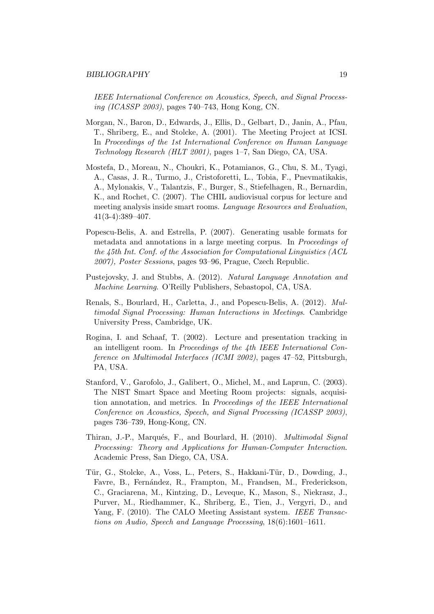IEEE International Conference on Acoustics, Speech, and Signal Processing (ICASSP 2003), pages 740–743, Hong Kong, CN.

- Morgan, N., Baron, D., Edwards, J., Ellis, D., Gelbart, D., Janin, A., Pfau, T., Shriberg, E., and Stolcke, A. (2001). The Meeting Project at ICSI. In Proceedings of the 1st International Conference on Human Language Technology Research (HLT 2001), pages 1–7, San Diego, CA, USA.
- Mostefa, D., Moreau, N., Choukri, K., Potamianos, G., Chu, S. M., Tyagi, A., Casas, J. R., Turmo, J., Cristoforetti, L., Tobia, F., Pnevmatikakis, A., Mylonakis, V., Talantzis, F., Burger, S., Stiefelhagen, R., Bernardin, K., and Rochet, C. (2007). The CHIL audiovisual corpus for lecture and meeting analysis inside smart rooms. Language Resources and Evaluation, 41(3-4):389–407.
- Popescu-Belis, A. and Estrella, P. (2007). Generating usable formats for metadata and annotations in a large meeting corpus. In Proceedings of the 45th Int. Conf. of the Association for Computational Linguistics (ACL 2007), Poster Sessions, pages 93–96, Prague, Czech Republic.
- Pustejovsky, J. and Stubbs, A. (2012). Natural Language Annotation and Machine Learning. O'Reilly Publishers, Sebastopol, CA, USA.
- Renals, S., Bourlard, H., Carletta, J., and Popescu-Belis, A. (2012). Multimodal Signal Processing: Human Interactions in Meetings. Cambridge University Press, Cambridge, UK.
- Rogina, I. and Schaaf, T. (2002). Lecture and presentation tracking in an intelligent room. In Proceedings of the 4th IEEE International Conference on Multimodal Interfaces (ICMI 2002), pages 47–52, Pittsburgh, PA, USA.
- <span id="page-18-0"></span>Stanford, V., Garofolo, J., Galibert, O., Michel, M., and Laprun, C. (2003). The NIST Smart Space and Meeting Room projects: signals, acquisition annotation, and metrics. In Proceedings of the IEEE International Conference on Acoustics, Speech, and Signal Processing (ICASSP 2003), pages 736–739, Hong-Kong, CN.
- Thiran, J.-P., Marqués, F., and Bourlard, H. (2010). *Multimodal Signal* Processing: Theory and Applications for Human-Computer Interaction. Academic Press, San Diego, CA, USA.
- <span id="page-18-1"></span>Tür, G., Stolcke, A., Voss, L., Peters, S., Hakkani-Tür, D., Dowding, J., Favre, B., Fernández, R., Frampton, M., Frandsen, M., Frederickson, C., Graciarena, M., Kintzing, D., Leveque, K., Mason, S., Niekrasz, J., Purver, M., Riedhammer, K., Shriberg, E., Tien, J., Vergyri, D., and Yang, F. (2010). The CALO Meeting Assistant system. IEEE Transactions on Audio, Speech and Language Processing, 18(6):1601–1611.